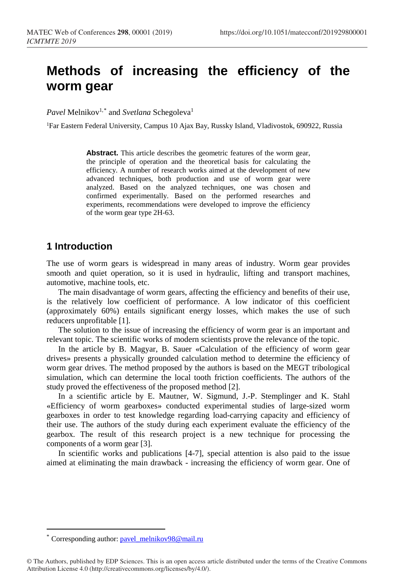# **Methods of increasing the efficiency of the worm gear**

*Pavel* Melnikov<sup>1,\*</sup> and *Svetlana* Schegoleva<sup>1</sup>

1Far Eastern Federal University, Campus 10 Ajax Bay, Russky Island, Vladivostok, 690922, Russia

**Abst[ra](#page-0-0)ct.** This article describes the geometric features of the worm gear, the principle of operation and the theoretical basis for calculating the efficiency. A number of research works aimed at the development of new advanced techniques, both production and use of worm gear were analyzed. Based on the analyzed techniques, one was chosen and confirmed experimentally. Based on the performed researches and experiments, recommendations were developed to improve the efficiency of the worm gear type 2H-63.

#### **1 Introduction**

The use of worm gears is widespread in many areas of industry. Worm gear provides smooth and quiet operation, so it is used in hydraulic, lifting and transport machines, automotive, machine tools, etc.

The main disadvantage of worm gears, affecting the efficiency and benefits of their use, is the relatively low coefficient of performance. A low indicator of this coefficient (approximately 60%) entails significant energy losses, which makes the use of such reducers unprofitable [1].

The solution to the issue of increasing the efficiency of worm gear is an important and relevant topic. The scientific works of modern scientists prove the relevance of the topic.

In the article by B. Magyar, B. Sauer «Calculation of the efficiency of worm gear drives» presents a physically grounded calculation method to determine the efficiency of worm gear drives. The method proposed by the authors is based on the MEGT tribological simulation, which can determine the local tooth friction coefficients. The authors of the study proved the effectiveness of the proposed method [2].

In a scientific article by E. Mautner, W. Sigmund, J.-P. Stemplinger and K. Stahl «Efficiency of worm gearboxes» conducted experimental studies of large-sized worm gearboxes in order to test knowledge regarding load-carrying capacity and efficiency of their use. The authors of the study during each experiment evaluate the efficiency of the gearbox. The result of this research project is a new technique for processing the components of a worm gear [3].

In scientific works and publications [4-7], special attention is also paid to the issue aimed at eliminating the main drawback - increasing the efficiency of worm gear. One of

 $\overline{a}$ 

<span id="page-0-0"></span>Corresponding author: [pavel\\_melnikov98@mail.ru](mailto:pavel_melnikov98@mail.ru)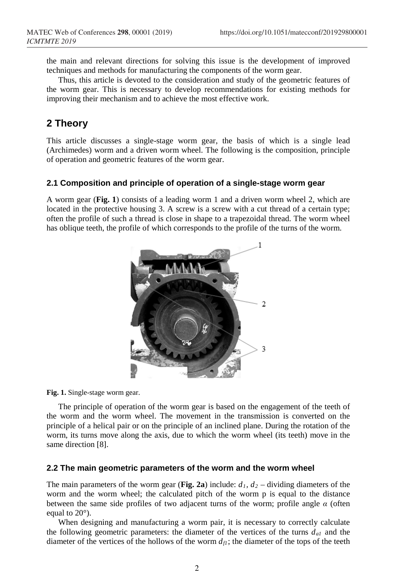the main and relevant directions for solving this issue is the development of improved techniques and methods for manufacturing the components of the worm gear.

Thus, this article is devoted to the consideration and study of the geometric features of the worm gear. This is necessary to develop recommendations for existing methods for improving their mechanism and to achieve the most effective work.

## **2 Theory**

This article discusses a single-stage worm gear, the basis of which is a single lead (Archimedes) worm and a driven worm wheel. The following is the composition, principle of operation and geometric features of the worm gear.

#### **2.1 Composition and principle of operation of a single-stage worm gear**

A worm gear (**Fig. 1**) consists of a leading worm 1 and a driven worm wheel 2, which are located in the protective housing 3. A screw is a screw with a cut thread of a certain type; often the profile of such a thread is close in shape to a trapezoidal thread. The worm wheel has oblique teeth, the profile of which corresponds to the profile of the turns of the worm.



**Fig. 1.** Single-stage worm gear.

The principle of operation of the worm gear is based on the engagement of the teeth of the worm and the worm wheel. The movement in the transmission is converted on the principle of a helical pair or on the principle of an inclined plane. During the rotation of the worm, its turns move along the axis, due to which the worm wheel (its teeth) move in the same direction [8].

#### **2.2 The main geometric parameters of the worm and the worm wheel**

The main parameters of the worm gear (Fig. 2a) include:  $d_1$ ,  $d_2$  – dividing diameters of the worm and the worm wheel; the calculated pitch of the worm p is equal to the distance between the same side profiles of two adjacent turns of the worm; profile angle *α* (often equal to 20°).

When designing and manufacturing a worm pair, it is necessary to correctly calculate the following geometric parameters: the diameter of the vertices of the turns  $d_{al}$  and the diameter of the vertices of the hollows of the worm  $d<sub>f</sub>$ ; the diameter of the tops of the teeth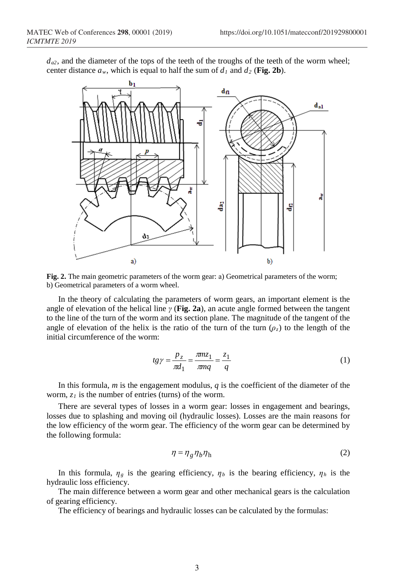$d_{a2}$ , and the diameter of the tops of the teeth of the troughs of the teeth of the worm wheel; center distance  $a_w$ , which is equal to half the sum of  $d_1$  and  $d_2$  (Fig. 2b).



**Fig. 2.** The main geometric parameters of the worm gear: а) Geometrical parameters of the worm; b) Geometrical parameters of a worm wheel.

In the theory of calculating the parameters of worm gears, an important element is the angle of elevation of the helical line *γ* (**Fig. 2a**), an acute angle formed between the tangent to the line of the turn of the worm and its section plane. The magnitude of the tangent of the angle of elevation of the helix is the ratio of the turn of the turn  $(\rho_z)$  to the length of the initial circumference of the worm:

$$
tg\gamma = \frac{p_z}{\pi d_1} = \frac{\pi m z_1}{\pi m q} = \frac{z_1}{q}
$$
\n<sup>(1)</sup>

In this formula,  $m$  is the engagement modulus,  $q$  is the coefficient of the diameter of the worm,  $z_1$  is the number of entries (turns) of the worm.

There are several types of losses in a worm gear: losses in engagement and bearings, losses due to splashing and moving oil (hydraulic losses). Losses are the main reasons for the low efficiency of the worm gear. The efficiency of the worm gear can be determined by the following formula:

$$
\eta = \eta_g \eta_b \eta_h \tag{2}
$$

In this formula,  $\eta_g$  is the gearing efficiency,  $\eta_b$  is the bearing efficiency,  $\eta_h$  is the hydraulic loss efficiency.

The main difference between a worm gear and other mechanical gears is the calculation of gearing efficiency.

The efficiency of bearings and hydraulic losses can be calculated by the formulas: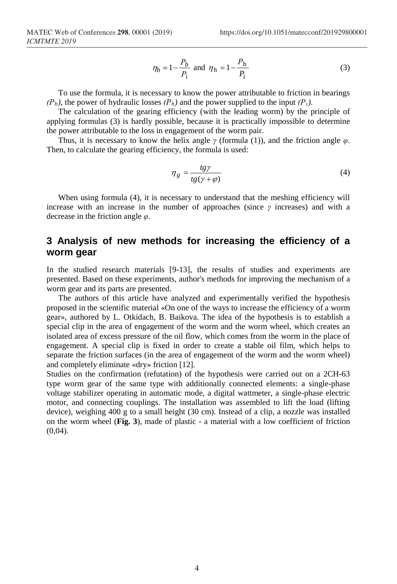$$
\eta_b = 1 - \frac{P_b}{P_i}
$$
 and  $\eta_h = 1 - \frac{P_h}{P_i}$  (3)

To use the formula, it is necessary to know the power attributable to friction in bearings *(Рb)*, the power of hydraulic losses *(Рh)* and the power supplied to the input *(Рi)*.

The calculation of the gearing efficiency (with the leading worm) by the principle of applying formulas (3) is hardly possible, because it is practically impossible to determine the power attributable to the loss in engagement of the worm pair.

Thus, it is necessary to know the helix angle *γ* (formula (1)), and the friction angle *φ*. Then, to calculate the gearing efficiency, the formula is used:

$$
\eta_g = \frac{tg\gamma}{tg(\gamma + \varphi)}\tag{4}
$$

When using formula (4), it is necessary to understand that the meshing efficiency will increase with an increase in the number of approaches (since  $\gamma$  increases) and with a decrease in the friction angle *φ*.

### **3 Analysis of new methods for increasing the efficiency of a worm gear**

In the studied research materials [9-13], the results of studies and experiments are presented. Based on these experiments, author's methods for improving the mechanism of a worm gear and its parts are presented.

The authors of this article have analyzed and experimentally verified the hypothesis proposed in the scientific material «On one of the ways to increase the efficiency of a worm gear», authored by L. Otkidach, B. Baikova. The idea of the hypothesis is to establish a special clip in the area of engagement of the worm and the worm wheel, which creates an isolated area of excess pressure of the oil flow, which comes from the worm in the place of engagement. A special clip is fixed in order to create a stable oil film, which helps to separate the friction surfaces (in the area of engagement of the worm and the worm wheel) and completely eliminate «dry» friction [12].

Studies on the confirmation (refutation) of the hypothesis were carried out on a 2CH-63 type worm gear of the same type with additionally connected elements: a single-phase voltage stabilizer operating in automatic mode, a digital wattmeter, a single-phase electric motor, and connecting couplings. The installation was assembled to lift the load (lifting device), weighing 400 g to a small height (30 cm). Instead of a clip, a nozzle was installed on the worm wheel (**Fig. 3**), made of plastic - a material with a low coefficient of friction  $(0,04)$ .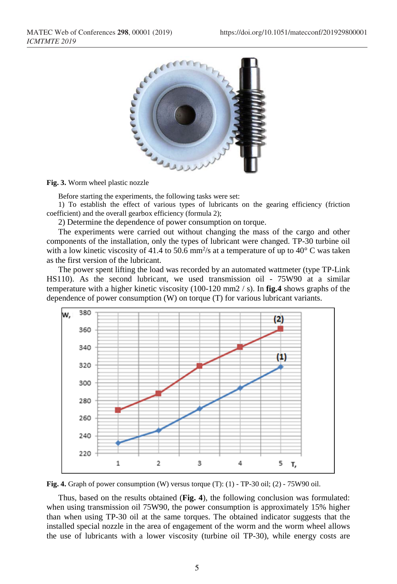

#### **Fig. 3.** Worm wheel plastic nozzle

Before starting the experiments, the following tasks were set:

1) To establish the effect of various types of lubricants on the gearing efficiency (friction coefficient) and the overall gearbox efficiency (formula 2);

2) Determine the dependence of power consumption on torque.

The experiments were carried out without changing the mass of the cargo and other components of the installation, only the types of lubricant were changed. TP-30 turbine oil with a low kinetic viscosity of 41.4 to 50.6 mm<sup>2</sup>/s at a temperature of up to 40 $\degree$  C was taken as the first version of the lubricant.

The power spent lifting the load was recorded by an automated wattmeter (type TP-Link HS110). As the second lubricant, we used transmission oil - 75W90 at a similar temperature with a higher kinetic viscosity (100-120 mm2 / s). In **fig.4** shows graphs of the dependence of power consumption (W) on torque (T) for various lubricant variants.



**Fig. 4.** Graph of power consumption (W) versus torque (T): (1) - TP-30 oil; (2) - 75W90 oil.

Thus, based on the results obtained (**Fig. 4**), the following conclusion was formulated: when using transmission oil 75W90, the power consumption is approximately 15% higher than when using TP-30 oil at the same torques. The obtained indicator suggests that the installed special nozzle in the area of engagement of the worm and the worm wheel allows the use of lubricants with a lower viscosity (turbine oil TP-30), while energy costs are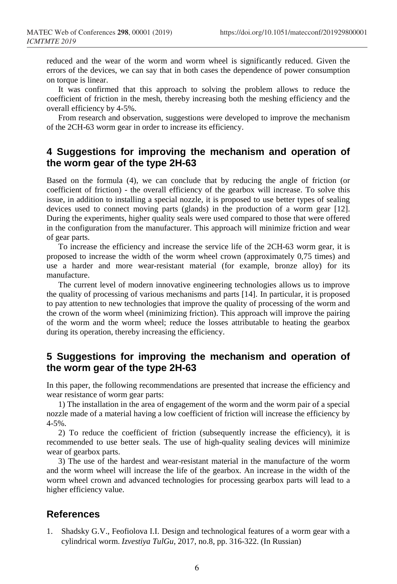reduced and the wear of the worm and worm wheel is significantly reduced. Given the errors of the devices, we can say that in both cases the dependence of power consumption on torque is linear.

It was confirmed that this approach to solving the problem allows to reduce the coefficient of friction in the mesh, thereby increasing both the meshing efficiency and the overall efficiency by 4-5%.

From research and observation, suggestions were developed to improve the mechanism of the 2CH-63 worm gear in order to increase its efficiency.

### **4 Suggestions for improving the mechanism and operation of the worm gear of the type 2H-63**

Based on the formula (4), we can conclude that by reducing the angle of friction (or coefficient of friction) - the overall efficiency of the gearbox will increase. To solve this issue, in addition to installing a special nozzle, it is proposed to use better types of sealing devices used to connect moving parts (glands) in the production of a worm gear [12]. During the experiments, higher quality seals were used compared to those that were offered in the configuration from the manufacturer. This approach will minimize friction and wear of gear parts.

To increase the efficiency and increase the service life of the 2CH-63 worm gear, it is proposed to increase the width of the worm wheel crown (approximately 0,75 times) and use a harder and more wear-resistant material (for example, bronze alloy) for its manufacture.

The current level of modern innovative engineering technologies allows us to improve the quality of processing of various mechanisms and parts [14]. In particular, it is proposed to pay attention to new technologies that improve the quality of processing of the worm and the crown of the worm wheel (minimizing friction). This approach will improve the pairing of the worm and the worm wheel; reduce the losses attributable to heating the gearbox during its operation, thereby increasing the efficiency.

### **5 Suggestions for improving the mechanism and operation of the worm gear of the type 2H-63**

In this paper, the following recommendations are presented that increase the efficiency and wear resistance of worm gear parts:

1) The installation in the area of engagement of the worm and the worm pair of a special nozzle made of a material having a low coefficient of friction will increase the efficiency by 4-5%.

2) To reduce the coefficient of friction (subsequently increase the efficiency), it is recommended to use better seals. The use of high-quality sealing devices will minimize wear of gearbox parts.

3) The use of the hardest and wear-resistant material in the manufacture of the worm and the worm wheel will increase the life of the gearbox. An increase in the width of the worm wheel crown and advanced technologies for processing gearbox parts will lead to a higher efficiency value.

#### **References**

1. Shadsky G.V., Feofiolova I.I. Design and technological features of a worm gear with a cylindrical worm. *Izvestiya TulGu,* 2017, no.8, pp. 316-322. (In Russian)